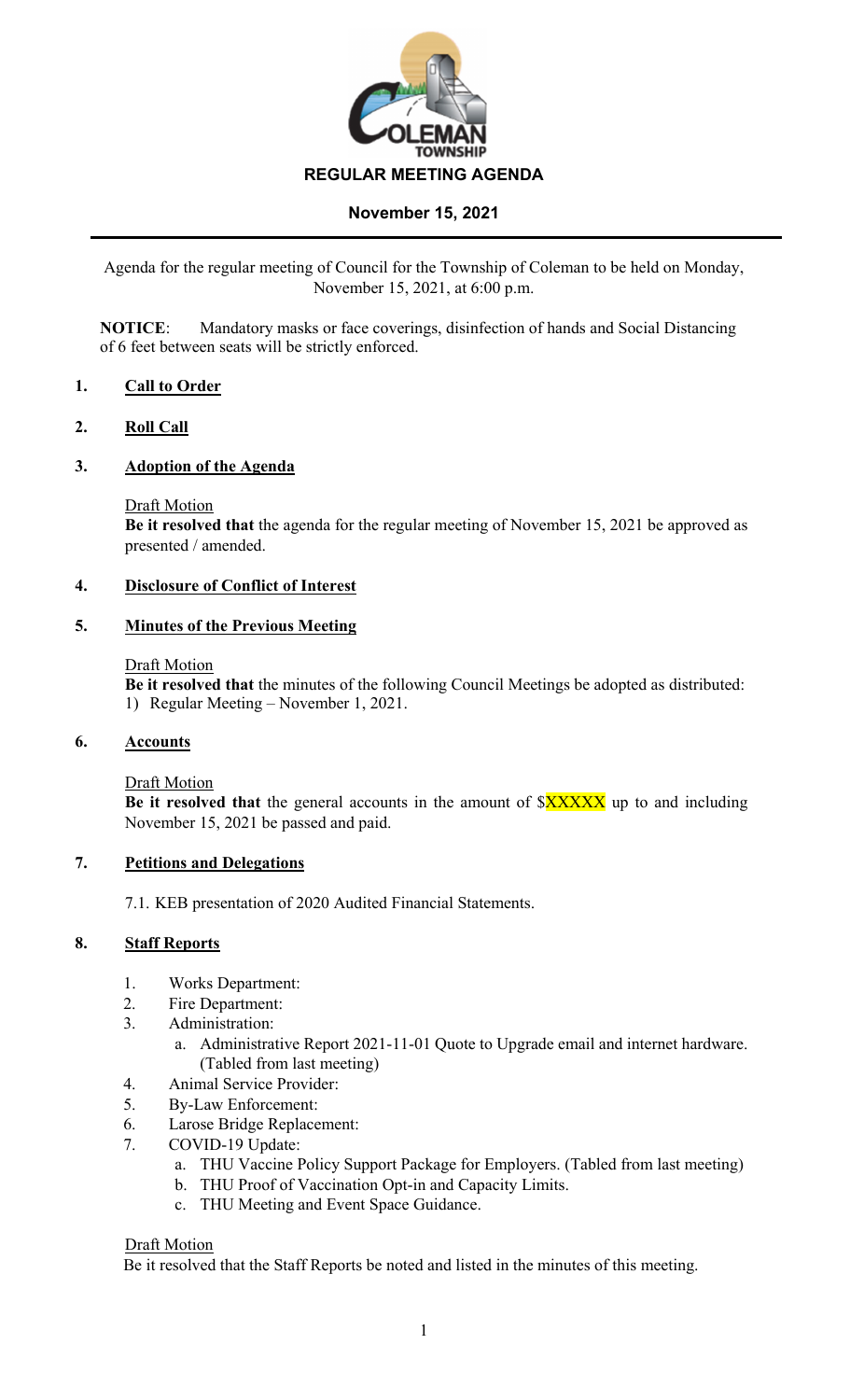

# **November 15, 2021**

Agenda for the regular meeting of Council for the Township of Coleman to be held on Monday, November 15, 2021, at 6:00 p.m.

**NOTICE**: Mandatory masks or face coverings, disinfection of hands and Social Distancing of 6 feet between seats will be strictly enforced.

### **1. Call to Order**

#### **2. Roll Call**

#### **3. Adoption of the Agenda**

Draft Motion

**Be it resolved that** the agenda for the regular meeting of November 15, 2021 be approved as presented / amended.

## **4. Disclosure of Conflict of Interest**

#### **5. Minutes of the Previous Meeting**

#### Draft Motion

**Be it resolved that** the minutes of the following Council Meetings be adopted as distributed: 1) Regular Meeting – November 1, 2021.

#### **6. Accounts**

Draft Motion

**Be it resolved that** the general accounts in the amount of  $XXXXX$  up to and including November 15, 2021 be passed and paid.

#### **7. Petitions and Delegations**

7.1. KEB presentation of 2020 Audited Financial Statements.

#### **8. Staff Reports**

- 1. Works Department:
- 2. Fire Department:
- 3. Administration:
	- a. Administrative Report 2021-11-01 Quote to Upgrade email and internet hardware. (Tabled from last meeting)
- 4. Animal Service Provider:
- 5. By-Law Enforcement:
- 6. Larose Bridge Replacement:
- 7. COVID-19 Update:
	- a. THU Vaccine Policy Support Package for Employers. (Tabled from last meeting)
	- b. THU Proof of Vaccination Opt-in and Capacity Limits.
	- c. THU Meeting and Event Space Guidance.

#### Draft Motion

Be it resolved that the Staff Reports be noted and listed in the minutes of this meeting.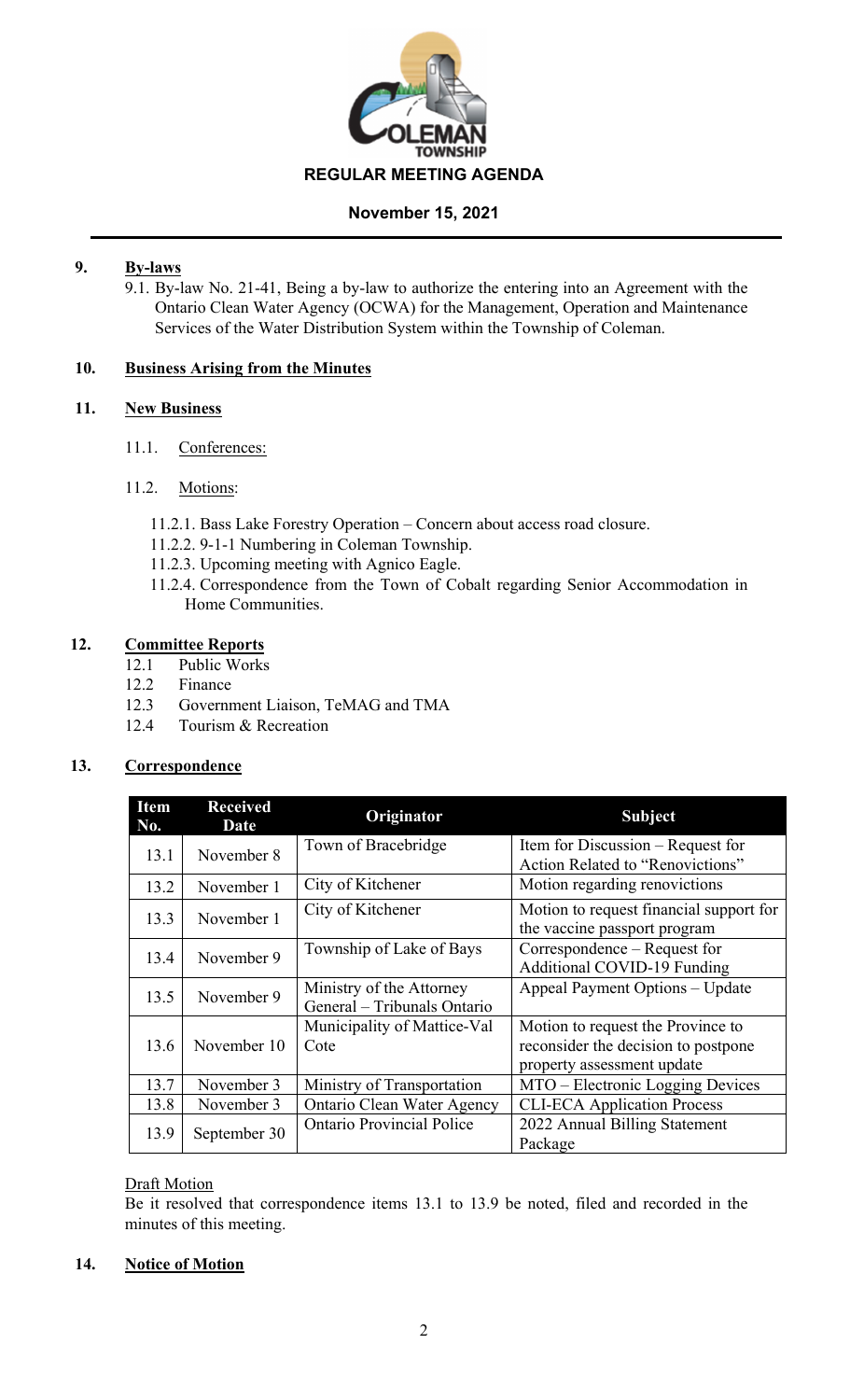

## **November 15, 2021**

# **9. By-laws**

9.1. By-law No. 21-41, Being a by-law to authorize the entering into an Agreement with the Ontario Clean Water Agency (OCWA) for the Management, Operation and Maintenance Services of the Water Distribution System within the Township of Coleman.

## **10. Business Arising from the Minutes**

## **11. New Business**

11.1. Conferences:

## 11.2. Motions:

- 11.2.1. Bass Lake Forestry Operation Concern about access road closure.
- 11.2.2. 9-1-1 Numbering in Coleman Township.
- 11.2.3. Upcoming meeting with Agnico Eagle.
- 11.2.4. Correspondence from the Town of Cobalt regarding Senior Accommodation in Home Communities.

# **12. Committee Reports**

- 12.1 Public Works
- 12.2 Finance
- 12.3 Government Liaison, TeMAG and TMA
- 12.4 Tourism & Recreation

# **13. Correspondence**

| <b>Item</b><br>No. | <b>Received</b><br>Date | Originator                                              | <b>Subject</b>                                                                                         |
|--------------------|-------------------------|---------------------------------------------------------|--------------------------------------------------------------------------------------------------------|
| 13.1               | November 8              | Town of Bracebridge                                     | Item for Discussion – Request for<br>Action Related to "Renovictions"                                  |
| 13.2               | November 1              | City of Kitchener                                       | Motion regarding renovictions                                                                          |
| 13.3               | November 1              | City of Kitchener                                       | Motion to request financial support for<br>the vaccine passport program                                |
| 13.4               | November 9              | Township of Lake of Bays                                | Correspondence – Request for<br><b>Additional COVID-19 Funding</b>                                     |
| 13.5               | November 9              | Ministry of the Attorney<br>General - Tribunals Ontario | Appeal Payment Options - Update                                                                        |
| 13.6               | November 10             | Municipality of Mattice-Val<br>Cote                     | Motion to request the Province to<br>reconsider the decision to postpone<br>property assessment update |
| 13.7               | November 3              | Ministry of Transportation                              | MTO – Electronic Logging Devices                                                                       |
| 13.8               | November 3              | Ontario Clean Water Agency                              | <b>CLI-ECA Application Process</b>                                                                     |
| 13.9               | September 30            | <b>Ontario Provincial Police</b>                        | 2022 Annual Billing Statement<br>Package                                                               |

### Draft Motion

Be it resolved that correspondence items 13.1 to 13.9 be noted, filed and recorded in the minutes of this meeting.

# **14. Notice of Motion**